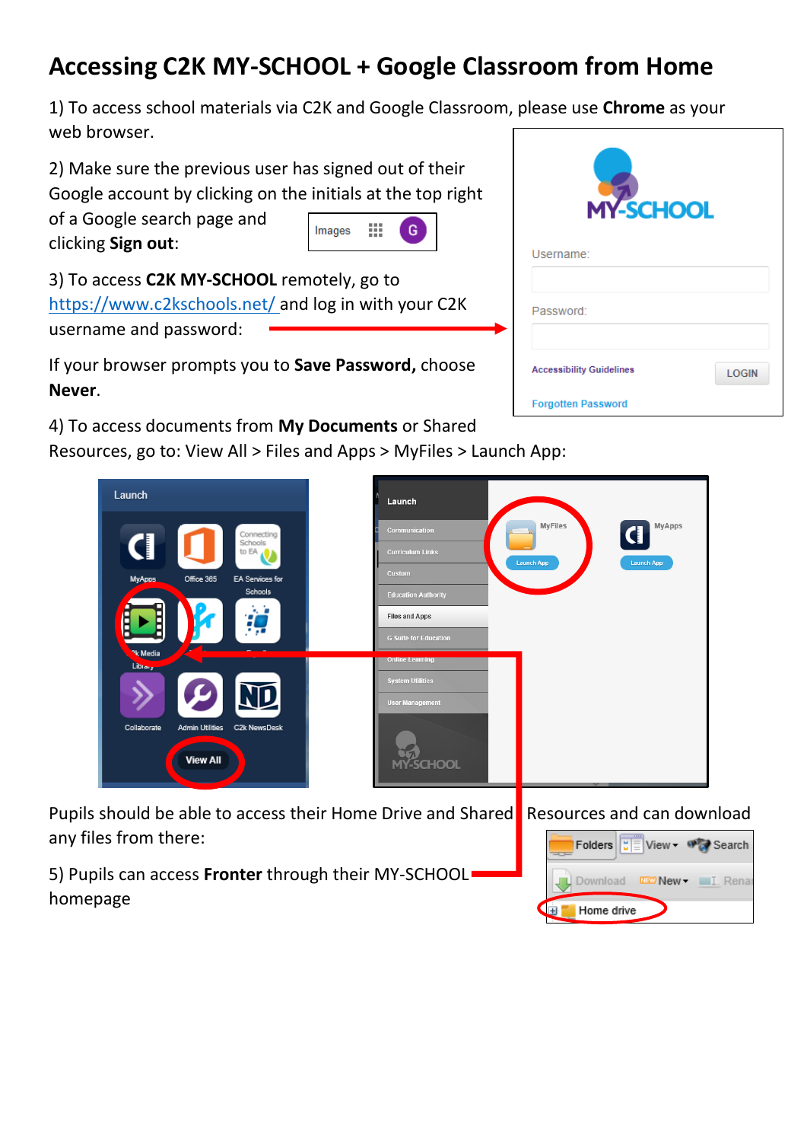## **Accessing C2K MY-SCHOOL + Google Classroom from Home**

1) To access school materials via C2K and Google Classroom, please use **Chrome** as your web browser.

2) Make sure the previous user has signed out of their Google account by clicking on the initials at the top right

of a Google search page and clicking **Sign out**:



3) To access **C2K MY-SCHOOL** remotely, go to <https://www.c2kschools.net/> and log in with your C2K username and password:

If your browser prompts you to **Save Password,** choose **Never**.

4) To access documents from **My Documents** or Shared

Resources, go to: View All > Files and Apps > MyFiles > Launch App:



|                                                              | Launch                                                            |
|--------------------------------------------------------------|-------------------------------------------------------------------|
| Connecting<br>Schools                                        | <b>MyFiles</b><br><b>MyApps</b><br>Communication                  |
| ŧ<br>to EA                                                   | <b>Curriculum Links</b><br><b>Launch App</b><br><b>Launch App</b> |
| <b>MyApps</b><br>Office 365<br>EA Services for               | Custom                                                            |
| Schools                                                      | <b>Education Authority</b>                                        |
| k, b<br>Ë                                                    | <b>Files and Apps</b>                                             |
|                                                              | <b>G Suite for Education</b>                                      |
| <b>Pk</b> Media<br>Library                                   | <b>Online Learning</b>                                            |
|                                                              | <b>System Utilities</b>                                           |
| <u>ND</u>                                                    | <b>User Management</b>                                            |
| Collaborate<br><b>Admin Utilities</b><br><b>C2k NewsDesk</b> |                                                                   |
|                                                              |                                                                   |
| <b>View All</b>                                              | <b>MY-SCHOOL</b>                                                  |

Pupils should be able to access their Home Drive and Shared Resources and can download any files from there:

5) Pupils can access **Fronter** through their MY-SCHOOL homepage

| $\mathbf{E} \equiv \mathbf{V}$ iew $\mathbf{v}$<br>Folders | Search |
|------------------------------------------------------------|--------|
| <b>DEC</b> New -<br>Download                               | Rena   |
| Home drive                                                 |        |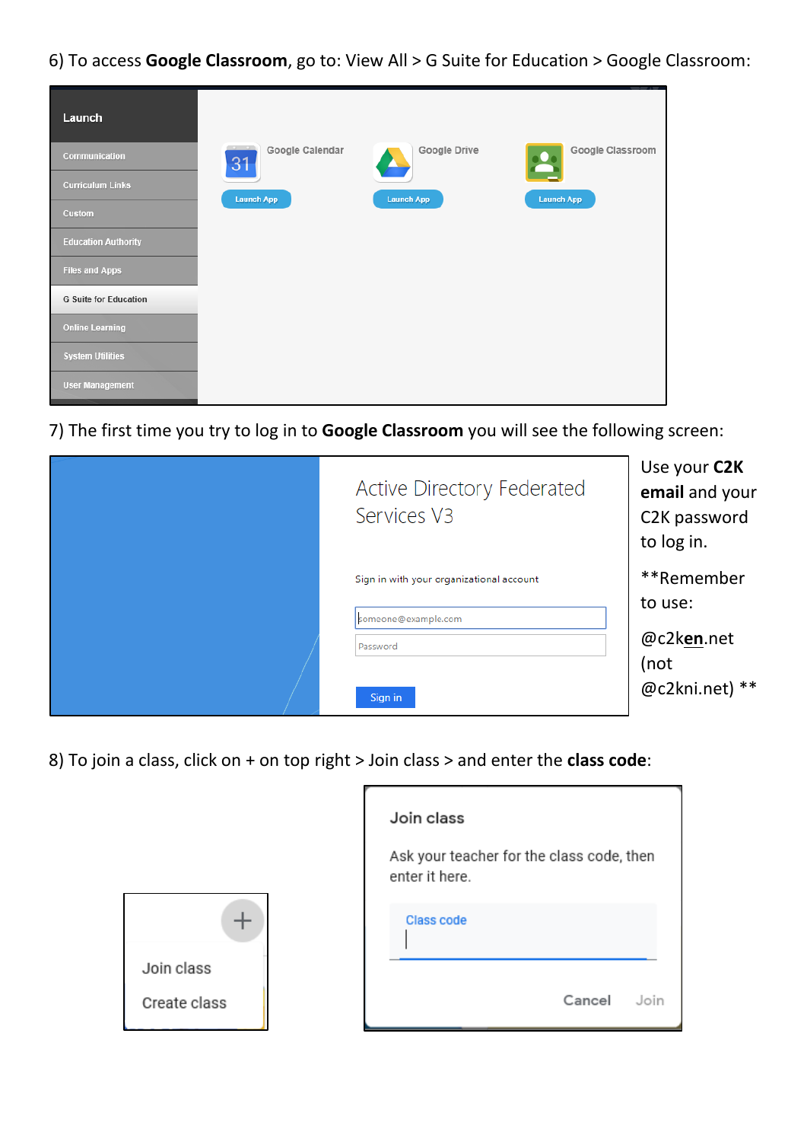6) To access **Google Classroom**, go to: View All > G Suite for Education > Google Classroom:

| Launch                       |                       |                   |                       |
|------------------------------|-----------------------|-------------------|-----------------------|
| Communication                | Google Calendar<br>31 | Google Drive      | Google Classroom<br>2 |
| <b>Curriculum Links</b>      | <b>Launch App</b>     | <b>Launch App</b> | <b>Launch App</b>     |
| Custom                       |                       |                   |                       |
| <b>Education Authority</b>   |                       |                   |                       |
| <b>Files and Apps</b>        |                       |                   |                       |
| <b>G Suite for Education</b> |                       |                   |                       |
| <b>Online Learning</b>       |                       |                   |                       |
| <b>System Utilities</b>      |                       |                   |                       |
| <b>User Management</b>       |                       |                   |                       |

7) The first time you try to log in to **Google Classroom** you will see the following screen:

| Active Directory Federated<br>Services V3                       | Use your C2K<br>email and your<br>C2K password<br>to log in. |
|-----------------------------------------------------------------|--------------------------------------------------------------|
| Sign in with your organizational account<br>someone@example.com | **Remember<br>to use:                                        |
| Password<br>Sign in                                             | @c2ken.net<br>(not<br>@c2kni.net) **                         |

8) To join a class, click on + on top right > Join class > and enter the **class code**:



| Join class                                                  |        |      |
|-------------------------------------------------------------|--------|------|
| Ask your teacher for the class code, then<br>enter it here. |        |      |
| <b>Class code</b>                                           |        |      |
|                                                             | Cancel | Join |